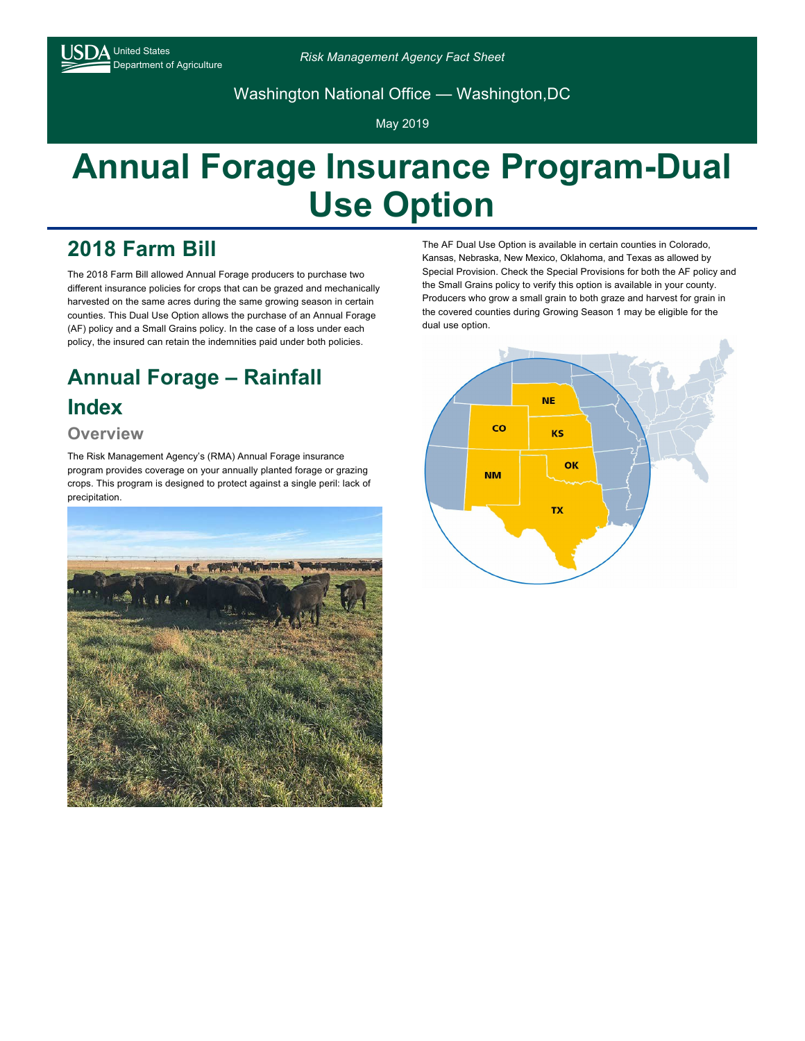

Washington National Office — Washington,DC

May 2019

# **Annual Forage Insurance Program-Dual Use Option**

## **2018 Farm Bill**

The 2018 Farm Bill allowed Annual Forage producers to purchase two different insurance policies for crops that can be grazed and mechanically harvested on the same acres during the same growing season in certain counties. This Dual Use Option allows the purchase of an Annual Forage (AF) policy and a Small Grains policy. In the case of a loss under each policy, the insured can retain the indemnities paid under both policies.

## **Annual Forage – Rainfall Index**

### **Overview**

The Risk Management Agency's (RMA) Annual Forage insurance program provides coverage on your annually planted forage or grazing crops. This program is designed to protect against a single peril: lack of precipitation.



The AF Dual Use Option is available in certain counties in Colorado, Kansas, Nebraska, New Mexico, Oklahoma, and Texas as allowed by Special Provision. Check the Special Provisions for both the AF policy and the Small Grains policy to verify this option is available in your county. Producers who grow a small grain to both graze and harvest for grain in the covered counties during Growing Season 1 may be eligible for the dual use option.